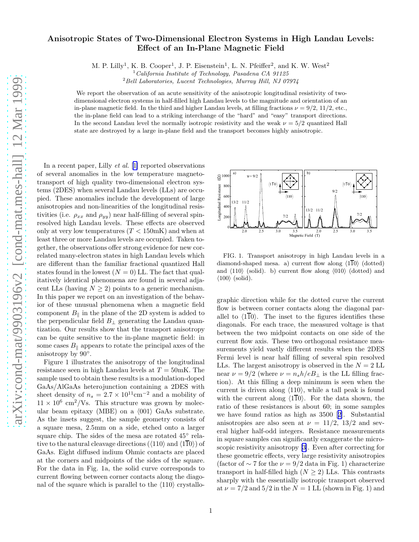## Anisotropic States of Two-Dimensional Electron Systems in High Landau Levels: Effect of an In-Plane Magnetic Field

M. P. Lilly<sup>1</sup>, K. B. Cooper<sup>1</sup>, J. P. Eisenstein<sup>1</sup>, L. N. Pfeiffer<sup>2</sup>, and K. W. West<sup>2</sup>

 $^{2}$ Bell Laboratories, Lucent Technologies, Murray Hill, NJ 07974

We report the observation of an acute sensitivity of the anisotropic longitudinal resistivity of twodimensional electron systems in half-filled high Landau levels to the magnitude and orientation of an in-plane magnetic field. In the third and higher Landau levels, at filling fractions  $\nu = 9/2$ , 11/2, etc., the in-plane field can lead to a striking interchange of the "hard" and "easy" transport directions. In the second Landau level the normally isotropic resistivity and the weak  $\nu = 5/2$  quantized Hall state are destroyed by a large in-plane field and the transport becomes highly anisotropic.

In a recent paper, Lilly *et al.* [[1\]](#page-4-0) reported observations of several anomalies in the low temperature magnetotransport of high quality two-dimensional electron systems (2DES) when several Landau levels (LLs) are occupied. These anomalies include the development of large anisotropies and non-linearities of the longitudinal resistivities (i.e.  $\rho_{xx}$  and  $\rho_{yy}$ ) near half-filling of several spinresolved high Landau levels. These effects are observed only at very low temperatures  $(T < 150 \text{mK})$  and when at least three or more Landau levels are occupied. Taken together, the observations offer strong evidence for new correlated many-electron states in high Landau levels which are different than the familiar fractional quantized Hall states found in the lowest  $(N = 0)$  LL. The fact that qualitatively identical phenomena are found in several adjacent LLs (having  $N \geq 2$ ) points to a generic mechanism. In this paper we report on an investigation of the behavior of these unusual phenomena when a magnetic field component  $B_{\parallel}$  in the plane of the 2D system is added to the perpendicular field  $B_{\perp}$  generating the Landau quantization. Our results show that the transport anisotropy can be quite sensitive to the in-plane magnetic field: in some cases  $B_{\parallel}$  appears to rotate the principal axes of the anisotropy by 90°.

Figure 1 illustrates the anisotropy of the longitudinal resistance seen in high Landau levels at  $T = 50$ mK. The sample used to obtain these results is a modulation-doped GaAs/AlGaAs heterojunction containing a 2DES with sheet density of  $n_s = 2.7 \times 10^{11} \text{cm}^{-2}$  and a mobility of  $11 \times 10^6$  cm<sup>2</sup>/Vs. This structure was grown by molecular beam epitaxy (MBE) on a  $\langle 001 \rangle$  GaAs substrate. As the insets suggest, the sample geometry consists of a square mesa, 2.5mm on a side, etched onto a larger square chip. The sides of the mesa are rotated  $45^{\circ}$  relative to the natural cleavage directions ( $\langle 110 \rangle$  and  $\langle 110 \rangle$ ) of GaAs. Eight diffused indium Ohmic contacts are placed at the corners and midpoints of the sides of the square. For the data in Fig. 1a, the solid curve corresponds to current flowing between corner contacts along the diagonal of the square which is parallel to the  $\langle 110 \rangle$  crystallo-



FIG. 1. Transport anisotropy in high Landau levels in a diamond-shaped mesa. a) current flow along  $\langle 110 \rangle$  (dotted) and  $\langle 110 \rangle$  (solid). b) current flow along  $\langle 010 \rangle$  (dotted) and  $\langle 100 \rangle$  (solid).

graphic direction while for the dotted curve the current flow is between corner contacts along the diagonal parallel to  $\langle 110 \rangle$ . The inset to the figures identifies these diagonals. For each trace, the measured voltage is that between the two midpoint contacts on one side of the current flow axis. These two orthogonal resistance measurements yield vastly different results when the 2DES Fermi level is near half filling of several spin resolved LLs. The largest anisotropy is observed in the  $N = 2$  LL near  $\nu = 9/2$  (where  $\nu = n_s h/eB_1$  is the LL filling fraction). At this filling a deep minimum is seen when the current is driven along  $\langle 110 \rangle$ , while a tall peak is found with the current along  $\langle 1\overline{1}0\rangle$ . For the data shown, the ratio of these resistances is about 60; in some samples we have found ratios as high as 3500[[2\]](#page-4-0). Substantial anisotropies are also seen at  $\nu = 11/2$ , 13/2 and several higher half-odd integers. Resistance measurements in square samples can significantly exaggerate the microscopic resistivity anisotropy[[3\]](#page-4-0). Even after correcting for these geometric effects, very large resistivity anisotropies (factor of  $\sim$  7 for the  $\nu = 9/2$  data in Fig. 1) characterize transport in half-filled high  $(N > 2)$  LLs. This contrasts sharply with the essentially isotropic transport observed at  $\nu = 7/2$  and  $5/2$  in the  $N = 1$  LL (shown in Fig. 1) and

 $1$  California Institute of Technology, Pasadena CA 91125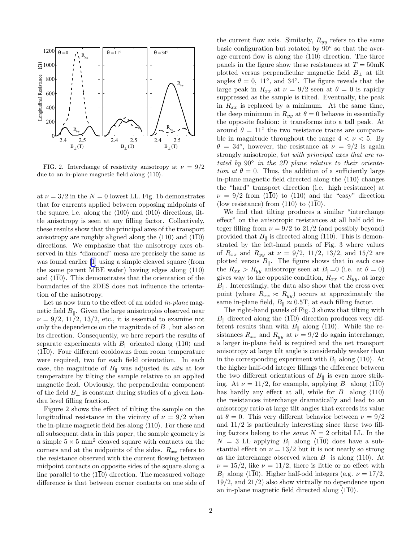

FIG. 2. Interchange of resistivity anisotropy at  $\nu = 9/2$ due to an in-plane magnetic field along  $\langle 110 \rangle$ .

at  $\nu = 3/2$  in the  $N = 0$  lowest LL. Fig. 1b demonstrates that for currents applied between opposing midpoints of the square, i.e. along the  $\langle 100 \rangle$  and  $\langle 010 \rangle$  directions, little anisotropy is seen at any filling factor. Collectively, these results show that the principal axes of the transport anisotropy are roughly aligned along the  $\langle 110 \rangle$  and  $\langle 1\overline{10} \rangle$ directions. We emphasize that the anisotropy axes observed in this "diamond" mesa are precisely the same as was found earlier[[1\]](#page-4-0) using a simple cleaved square (from the same parent MBE wafer) having edges along  $\langle 110 \rangle$ and  $\langle 110 \rangle$ . This demonstrates that the orientation of the boundaries of the 2DES does not influence the orientation of the anisotropy.

Let us now turn to the effect of an added *in-plane* magnetic field  $B_{\parallel}$ . Given the large anisotropies observed near  $\nu = 9/2, 11/2, 13/2,$  etc., it is essential to examine not only the dependence on the magnitude of  $B_{\parallel}$ , but also on its direction. Consequently, we here report the results of separate experiments with  $B_{\parallel}$  oriented along  $\langle 110 \rangle$  and  $\langle 110 \rangle$ . Four different cooldowns from room temperature were required, two for each field orientation. In each case, the magnitude of  $B_{\parallel}$  was adjusted in situ at low temperature by tilting the sample relative to an applied magnetic field. Obviously, the perpendicular component of the field  $B_{\perp}$  is constant during studies of a given Landau level filling fraction.

Figure 2 shows the effect of tilting the sample on the longitudinal resistance in the vicinity of  $\nu = 9/2$  when the in-plane magnetic field lies along  $\langle 110 \rangle$ . For these and all subsequent data in this paper, the sample geometry is a simple  $5 \times 5$  mm<sup>2</sup> cleaved square with contacts on the corners and at the midpoints of the sides.  $R_{xx}$  refers to the resistance observed with the current flowing between midpoint contacts on opposite sides of the square along a line parallel to the  $\langle 110 \rangle$  direction. The measured voltage difference is that between corner contacts on one side of

the current flow axis. Similarly,  $R_{yy}$  refers to the same basic configuration but rotated by 90◦ so that the average current flow is along the  $\langle 110 \rangle$  direction. The three panels in the figure show these resistances at  $T = 50$ mK plotted versus perpendicular magnetic field  $B_{\perp}$  at tilt angles  $\theta = 0$ , 11<sup>°</sup>, and 34<sup>°</sup>. The figure reveals that the large peak in  $R_{xx}$  at  $\nu = 9/2$  seen at  $\theta = 0$  is rapidly suppressed as the sample is tilted. Eventually, the peak in  $R_{xx}$  is replaced by a minimum. At the same time, the deep minimum in  $R_{yy}$  at  $\theta = 0$  behaves in essentially the opposite fashion: it transforms into a tall peak. At around  $\theta = 11^{\circ}$  the two resistance traces are comparable in magnitude throughout the range  $4 < \nu < 5$ . By  $\theta = 34^{\circ}$ , however, the resistance at  $\nu = 9/2$  is again strongly anisotropic, but with principal axes that are rotated by 90◦ in the 2D plane relative to their orientation at  $\theta = 0$ . Thus, the addition of a sufficiently large in-plane magnetic field directed along the  $\langle 110 \rangle$  changes the "hard" transport direction (i.e. high resistance) at  $\nu = 9/2$  from  $\langle 110 \rangle$  to  $\langle 110 \rangle$  and the "easy" direction (low resistance) from  $\langle 110 \rangle$  to  $\langle 110 \rangle$ .

We find that tilting produces a similar "interchange effect" on the anisotropic resistances at all half odd integer filling from  $\nu = 9/2$  to  $21/2$  (and possibly beyond) provided that  $B_{\parallel}$  is directed along  $\langle 110 \rangle$ . This is demonstrated by the left-hand panels of Fig. 3 where values of  $R_{xx}$  and  $R_{yy}$  at  $\nu = 9/2, 11/2, 13/2,$  and  $15/2$  are plotted versus  $B_{\parallel}$ . The figure shows that in each case the  $R_{xx} > R_{yy}$  anisotropy seen at  $B_{\parallel}=0$  (i.e. at  $\theta = 0$ ) gives way to the opposite condition,  $R_{xx} < R_{yy}$ , at large  $B_{\parallel}$ . Interestingly, the data also show that the cross over point (where  $R_{xx} \approx R_{yy}$ ) occurs at approximately the same in-plane field,  $B_{\parallel} \approx 0.5$ T, at each filling factor.

The right-hand panels of Fig. 3 shows that tilting with  $B_{\parallel}$  directed along the  $\langle 1\overline{1}0\rangle$  direction produces very different results than with  $B_{\parallel}$  along  $\langle 110 \rangle$ . While the resistances  $R_{xx}$  and  $R_{yy}$  at  $\nu = 9/2$  do again interchange, a larger in-plane field is required and the net transport anisotropy at large tilt angle is considerably weaker than in the corresponding experiment with  $B_{\parallel}$  along  $\langle 110 \rangle$ . At the higher half-odd integer fillings the difference between the two different orientations of  $B_{\parallel}$  is even more striking. At  $\nu = 11/2$ , for example, applying  $B_{\parallel}$  along  $\langle 1\overline{1}0 \rangle$ has hardly any effect at all, while for  $B_{\parallel}$  along  $\langle 110 \rangle$ the resistances interchange dramatically and lead to an anisotropy ratio at large tilt angles that exceeds its value at  $\theta = 0$ . This very different behavior between  $\nu = 9/2$ and 11/2 is particularly interesting since these two filling factors belong to the *same*  $N = 2$  orbital LL. In the  $N = 3$  LL applying  $B_{\parallel}$  along  $\langle 1\overline{1}0\rangle$  does have a substantial effect on  $\nu = 13/2$  but it is not nearly so strong as the interchange observed when  $B_{\parallel}$  is along  $\langle 110 \rangle$ . At  $\nu = 15/2$ , like  $\nu = 11/2$ , there is little or no effect with  $B_{\parallel}$  along  $\langle 1\overline{1}0\rangle$ . Higher half-odd integers (e.g.  $\nu = 17/2$ , 19/2, and 21/2) also show virtually no dependence upon an in-plane magnetic field directed along  $\langle 1\overline{1}0\rangle$ .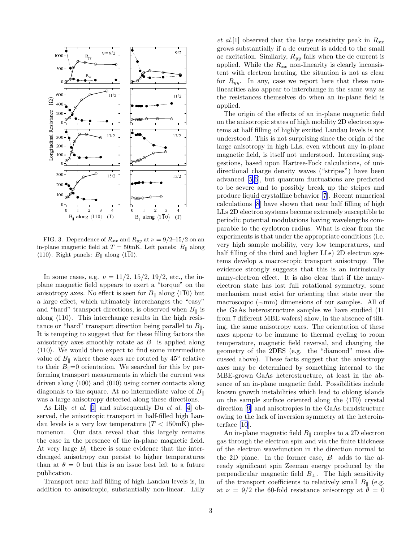

FIG. 3. Dependence of  $R_{xx}$  and  $R_{yy}$  at  $\nu = 9/2 - 15/2$  on an in-plane magnetic field at  $T = 50$ mK. Left panels:  $B_{\parallel}$  along  $\langle 110 \rangle$ . Right panels:  $B_{\parallel}$  along  $\langle 1\overline{1}0 \rangle$ .

In some cases, e.g.  $\nu = 11/2, 15/2, 19/2,$  etc., the inplane magnetic field appears to exert a "torque" on the anisotropy axes. No effect is seen for  $B_{\parallel}$  along  $\langle 1\overline{1}0 \rangle$  but a large effect, which ultimately interchanges the "easy" and "hard" transport directions, is observed when  $B_{\parallel}$  is along  $\langle 110 \rangle$ . This interchange results in the high resistance or "hard" transport direction being parallel to  $B_{\parallel}$ . It is tempting to suggest that for these filling factors the anisotropy axes smoothly rotate as  $B_{\parallel}$  is applied along  $\langle 110 \rangle$ . We would then expect to find some intermediate value of  $B_{\parallel}$  where these axes are rotated by 45<sup>°</sup> relative to their  $B_{\parallel}=0$  orientation. We searched for this by performing transport measurments in which the current was driven along  $\langle 100 \rangle$  and  $\langle 010 \rangle$  using corner contacts along diagonals to the square. At no intermediate value of  $B_{\parallel}$ was a large anisotropy detected along these directions.

As Lilly *et al.* [[1\]](#page-4-0) and subsequently Du *et al.* [\[4](#page-4-0)] observed, the anisotropic transport in half-filled high Landau levels is a very low temperature  $(T < 150 \text{mK})$  phenomenon. Our data reveal that this largely remains the case in the presence of the in-plane magnetic field. At very large  $B_{\parallel}$  there is some evidence that the interchanged anisotropy can persist to higher temperatures than at  $\theta = 0$  but this is an issue best left to a future publication.

Transport near half filling of high Landau levels is, in addition to anisotropic, substantially non-linear. Lilly

et al. [1] observed that the large resistivity peak in  $R_{xx}$ grows substantially if a dc current is added to the small ac excitation. Similarly,  $R_{yy}$  falls when the dc current is applied. While the  $R_{xx}$  non-linearity is clearly inconsistent with electron heating, the situation is not as clear for  $R_{yy}$ . In any, case we report here that these nonlinearities also appear to interchange in the same way as the resistances themselves do when an in-plane field is applied.

The origin of the effects of an in-plane magnetic field on the anisotropic states of high mobility 2D electron systems at half filling of highly excited Landau levels is not understood. This is not surprising since the origin of the large anisotropy in high LLs, even without any in-plane magnetic field, is itself not understood. Interesting suggestions, based upon Hartree-Fock calculations, of unidirectional charge density waves ("stripes") have been advanced [\[5](#page-4-0),[6\]](#page-4-0), but quantum fluctuations are predicted to be severe and to possibly break up the stripes and produce liquid crystalline behavior [\[7](#page-4-0)]. Recent numerical calculations [\[8](#page-4-0)] have shown that near half filling of high LLs 2D electron systems become extremely susceptible to periodic potential modulations having wavelengths comparable to the cyclotron radius. What is clear from the experiments is that under the appropriate conditions (i.e. very high sample mobility, very low temperatures, and half filling of the third and higher LLs) 2D electron systems develop a macroscopic transport anisotropy. The evidence strongly suggests that this is an intrinsically many-electron effect. It is also clear that if the manyelectron state has lost full rotational symmetry, some mechanism must exist for orienting that state over the macroscopic (∼mm) dimensions of our samples. All of the GaAs heterostructure samples we have studied (11 from 7 different MBE wafers) show, in the absence of tilting, the same anisotropy axes. The orientation of these axes appear to be immune to thermal cycling to room temperature, magnetic field reversal, and changing the geometry of the 2DES (e.g. the "diamond" mesa discussed above). These facts suggest that the anisotropy axes may be determined by something internal to the MBE-grown GaAs heterostructure, at least in the absence of an in-plane magnetic field. Possibilities include known growth instabilities which lead to oblong islands on the sample surface oriented along the  $\langle 110 \rangle$  crystal direction [\[9](#page-4-0)] and anisotropies in the GaAs bandstructure owing to the lack of inversion symmetry at the heterointerface [\[10](#page-4-0)].

An in-plane magnetic field  $B_{\parallel}$  couples to a 2D electron gas through the electron spin and via the finite thickness of the electron wavefunction in the direction normal to the 2D plane. In the former case,  $B_{\parallel}$  adds to the already significant spin Zeeman energy produced by the perpendicular magnetic field  $B_{\perp}$ . The high sensitivity of the transport coefficients to relatively small  $B_{\parallel}$  (e.g. at  $\nu = 9/2$  the 60-fold resistance anisotropy at  $\theta = 0$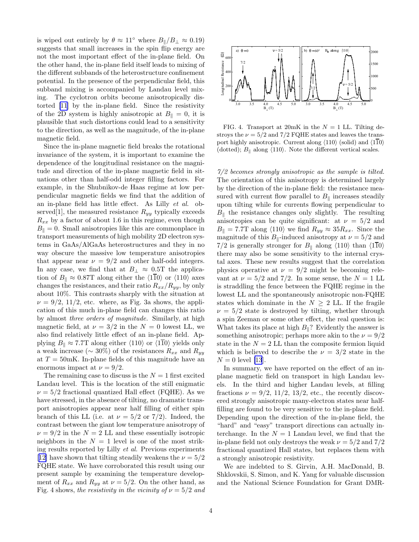is wiped out entirely by  $\theta \approx 11^\circ$  where  $B_{\parallel}/B_{\perp} \approx 0.19$ ) suggests that small increases in the spin flip energy are not the most important effect of the in-plane field. On the other hand, the in-plane field itself leads to mixing of the different subbands of the heterostructure confinement potential. In the presence of the perpendicular field, this subband mixing is accompanied by Landau level mixing. The cyclotron orbits become anisotropically distorted [\[11](#page-4-0)] by the in-plane field. Since the resistivity of the 2D system is highly anisotropic at  $B_{\parallel} = 0$ , it is plausible that such distortions could lead to a sensitivity to the direction, as well as the magnitude, of the in-plane magnetic field.

Since the in-plane magnetic field breaks the rotational invariance of the system, it is important to examine the dependence of the longitudinal resistance on the magnitude and direction of the in-plane magnetic field in situations other than half-odd integer filling factors. For example, in the Shubnikov-de Haas regime at low perpendicular magnetic fields we find that the addition of an in-plane field has little effect. As Lilly et al. observed<sup>[1]</sup>, the measured resistance  $R_{yy}$  typically exceeds  $R_{xx}$  by a factor of about 1.6 in this regime, even though  $B_{\parallel} = 0$ . Small anisotropies like this are commonplace in transport measurements of high mobility 2D electron systems in GaAs/AlGaAs heterostructures and they in no way obscure the massive low temperature anisotropies that appear near  $\nu = 9/2$  and other half-odd integers. In any case, we find that at  $B_\perp \approx 0.5$ T the application of  $B_{\parallel} \approx 0.87$ T along either the  $\langle 1\overline{1}0 \rangle$  or  $\langle 110 \rangle$  axes changes the resistances, and their ratio  $R_{xx}/R_{yy}$ , by only about 10%. This contrasts sharply with the situation at  $\nu = 9/2$ , 11/2, etc. where, as Fig. 3a shows, the application of this much in-plane field can changes this ratio by almost three orders of magnitude. Similarly, at high magnetic field, at  $\nu = 3/2$  in the  $N = 0$  lowest LL, we also find relatively little effect of an in-plane field. Applying  $B_{\parallel} \approx 7.7$ T along either  $\langle 110 \rangle$  or  $\langle 110 \rangle$  yields only a weak increase ( $\sim 30\%$ ) of the resistances  $R_{xx}$  and  $R_{yy}$ at  $T = 50$ mK. In-plane fields of this magnitude have an enormous impact at  $\nu = 9/2$ .

The remaining case to discuss is the  $N = 1$  first excited Landau level. This is the location of the still enigmatic  $\nu = 5/2$  fractional quantized Hall effect (FQHE). As we have stressed, in the absence of tilting, no dramatic transport anisotropies appear near half filling of either spin branch of this LL (i.e. at  $\nu = 5/2$  or 7/2). Indeed, the contrast between the giant low temperature anisotropy of  $\nu = 9/2$  in the  $N = 2$  LL and these essentially isotropic neighbors in the  $N = 1$  level is one of the most striking results reported by Lilly et al. Previous experiments [[12\]](#page-4-0) have shown that tilting steadily weakens the  $\nu = 5/2$ FQHE state. We have corroborated this result using our present sample by examining the temperature development of  $R_{xx}$  and  $R_{yy}$  at  $\nu = 5/2$ . On the other hand, as Fig. 4 shows, the resistivity in the vicinity of  $\nu = 5/2$  and



FIG. 4. Transport at 20mK in the  $N = 1$  LL. Tilting destroys the  $\nu = 5/2$  and  $7/2$  FQHE states and leaves the transport highly anisotropic. Current along  $\langle 110 \rangle$  (solid) and  $\langle 110 \rangle$ (dotted);  $B_{\parallel}$  along  $\langle 110 \rangle$ . Note the different vertical scales.

7/2 becomes strongly anisotropic as the sample is tilted. The orientation of this anisotropy is determined largely by the direction of the in-plane field: the resistance measured with current flow parallel to  $B_{\parallel}$  increases steadily upon tilting while for currents flowing perpendicular to  $B_{\parallel}$  the resistance changes only slightly. The resulting anisotropies can be quite significant: at  $\nu = 5/2$  and  $B_{\parallel} = 7.7$ T along  $\langle 110 \rangle$  we find  $R_{yy} \approx 35 R_{xx}$ . Since the magnitude of this  $B_{\parallel}$ -induced anisotropy at  $\nu = 5/2$  and 7/2 is generally stronger for  $B_{\parallel}$  along  $\langle 110 \rangle$  than  $\langle 110 \rangle$ there may also be some sensitivity to the internal crystal axes. These new results suggest that the correlation physics operative at  $\nu = 9/2$  might be becoming relevant at  $\nu = 5/2$  and 7/2. In some sense, the  $N = 1$  LL is straddling the fence between the FQHE regime in the lowest LL and the spontaneously anisotropic non-FQHE states which dominate in the  $N \geq 2$  LL. If the fragile  $\nu = 5/2$  state is destroyed by tilting, whether through a spin Zeeman or some other effect, the real question is: What takes its place at high  $B_{\parallel}$ ? Evidently the answer is something anisotropic; perhaps more akin to the  $\nu = 9/2$ state in the  $N = 2$  LL than the composite fermion liquid which is believed to describe the  $\nu = 3/2$  state in the  $N = 0$  level [\[13](#page-4-0)].

In summary, we have reported on the effect of an inplane magnetic field on transport in high Landau levels. In the third and higher Landau levels, at filling fractions  $\nu = 9/2, 11/2, 13/2,$  etc., the recently discovered strongly anisotropic many-electron states near halffilling are found to be very sensitive to the in-plane field. Depending upon the direction of the in-plane field, the "hard" and "easy" transport directions can actually interchange. In the  $N = 1$  Landau level, we find that the in-plane field not only destroys the weak  $\nu = 5/2$  and  $7/2$ fractional quantized Hall states, but replaces them with a strongly anisotropic resistivity.

We are indebted to S. Girvin, A.H. MacDonald, B. Shklovskii, S. Simon, and K. Yang for valuable discussion and the National Science Foundation for Grant DMR-